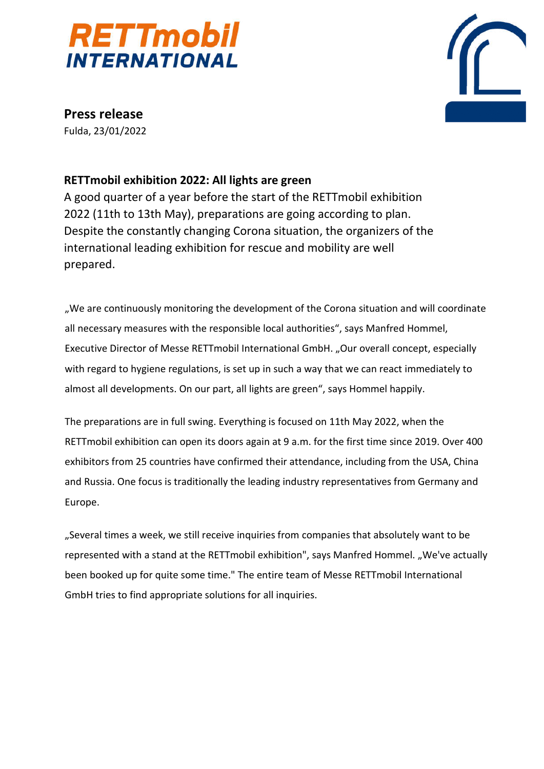



**Press release** Fulda, 23/01/2022

## **RETTmobil exhibition 2022: All lights are green**

A good quarter of a year before the start of the RETTmobil exhibition 2022 (11th to 13th May), preparations are going according to plan. Despite the constantly changing Corona situation, the organizers of the international leading exhibition for rescue and mobility are well prepared.

"We are continuously monitoring the development of the Corona situation and will coordinate all necessary measures with the responsible local authorities", says Manfred Hommel, Executive Director of Messe RETTmobil International GmbH. "Our overall concept, especially with regard to hygiene regulations, is set up in such a way that we can react immediately to almost all developments. On our part, all lights are green", says Hommel happily.

The preparations are in full swing. Everything is focused on 11th May 2022, when the RETTmobil exhibition can open its doors again at 9 a.m. for the first time since 2019. Over 400 exhibitors from 25 countries have confirmed their attendance, including from the USA, China and Russia. One focus is traditionally the leading industry representatives from Germany and Europe.

"Several times a week, we still receive inquiries from companies that absolutely want to be represented with a stand at the RETTmobil exhibition", says Manfred Hommel. "We've actually been booked up for quite some time." The entire team of Messe RETTmobil International GmbH tries to find appropriate solutions for all inquiries.